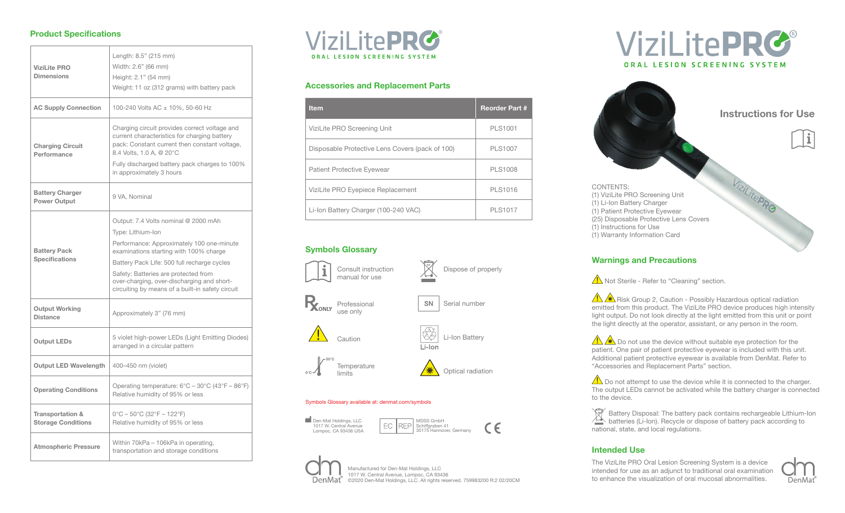#### **Product Specifications**

| <b>ViziLite PRO</b><br><b>Dimensions</b>                 | Length: 8.5" (215 mm)<br>Width: 2.6" (66 mm)<br>Height: 2.1" (54 mm)<br>Weight: 11 oz (312 grams) with battery pack                                                                                                                                                                                                                       |  |
|----------------------------------------------------------|-------------------------------------------------------------------------------------------------------------------------------------------------------------------------------------------------------------------------------------------------------------------------------------------------------------------------------------------|--|
| <b>AC Supply Connection</b>                              | 100-240 Volts AC ± 10%, 50-60 Hz                                                                                                                                                                                                                                                                                                          |  |
| <b>Charging Circuit</b><br>Performance                   | Charging circuit provides correct voltage and<br>current characteristics for charging battery<br>pack: Constant current then constant voltage,<br>8.4 Volts, 1.0 A, @ 20°C<br>Fully discharged battery pack charges to 100%<br>in approximately 3 hours                                                                                   |  |
| <b>Battery Charger</b><br><b>Power Output</b>            | 9 VA, Nominal                                                                                                                                                                                                                                                                                                                             |  |
| <b>Battery Pack</b><br><b>Specifications</b>             | Output: 7.4 Volts nominal @ 2000 mAh<br>Type: Lithium-Ion<br>Performance: Approximately 100 one-minute<br>examinations starting with 100% charge<br>Battery Pack Life: 500 full recharge cycles<br>Safety: Batteries are protected from<br>over-charging, over-discharging and short-<br>circuiting by means of a built-in safety circuit |  |
| <b>Output Working</b><br><b>Distance</b>                 | Approximately 3" (76 mm)                                                                                                                                                                                                                                                                                                                  |  |
| <b>Output LEDs</b>                                       | 5 violet high-power LEDs (Light Emitting Diodes)<br>arranged in a circular pattern                                                                                                                                                                                                                                                        |  |
| <b>Output LED Wavelength</b>                             | 400-450 nm (violet)                                                                                                                                                                                                                                                                                                                       |  |
| <b>Operating Conditions</b>                              | Operating temperature: $6^{\circ}C - 30^{\circ}C$ (43 $^{\circ}F - 86^{\circ}F$ )<br>Relative humidity of 95% or less                                                                                                                                                                                                                     |  |
| <b>Transportation &amp;</b><br><b>Storage Conditions</b> | $0^{\circ}$ C – 50 $^{\circ}$ C (32 $^{\circ}$ F – 122 $^{\circ}$ F)<br>Relative humidity of 95% or less                                                                                                                                                                                                                                  |  |
| <b>Atmospheric Pressure</b>                              | Within 70kPa - 106kPa in operating,<br>transportation and storage conditions                                                                                                                                                                                                                                                              |  |



#### **Accessories and Replacement Parts**

| <b>Item</b>                                     | <b>Reorder Part #</b> |
|-------------------------------------------------|-----------------------|
| ViziLite PRO Screening Unit                     | <b>PLS1001</b>        |
| Disposable Protective Lens Covers (pack of 100) | <b>PLS1007</b>        |
| <b>Patient Protective Eyewear</b>               | <b>PLS1008</b>        |
| ViziLite PRO Eyepiece Replacement               | <b>PLS1016</b>        |
| Li-Ion Battery Charger (100-240 VAC)            | PI S1017              |

# **Symbols Glossary**





REP EC



Manufactured for Den-Mat Holdings, LLC 1017 W. Central Avenue, Lompoc, CA 93436 DenMat<sup>®</sup> ©2020 Den-Mat Holdings, LLC. All rights reserved. 759983200 R:2 02/20CM





## **Warnings and Precautions**

 $\sqrt{\frac{1}{n}}$  Not Sterile - Refer to "Cleaning" section.

 $\sqrt{\left(\frac{1}{1}\right)^2}$  Risk Group 2, Caution - Possibly Hazardous optical radiation emitted from this product. The ViziLite PRO device produces high intensity light output. Do not look directly at the light emitted from this unit or point the light directly at the operator, assistant, or any person in the room.

 $\sqrt{\sqrt{2}}$  Do not use the device without suitable eye protection for the patient. One pair of patient protective eyewear is included with this unit. Additional patient protective eyewear is available from DenMat. Refer to "Accessories and Replacement Parts" section.

 $\sqrt{\phantom{a}}$  Do not attempt to use the device while it is connected to the charger. The output LEDs cannot be activated while the battery charger is connected to the device.

 $\overline{\mathbb{R}}^n$  Battery Disposal: The battery pack contains rechargeable Lithium-Ion  $\sqrt{2}$  batteries (Li-Ion). Recycle or dispose of battery pack according to national, state, and local regulations.

## **Intended Use**

The ViziLite PRO Oral Lesion Screening System is a device intended for use as an adjunct to traditional oral examination to enhance the visualization of oral mucosal abnormalities.